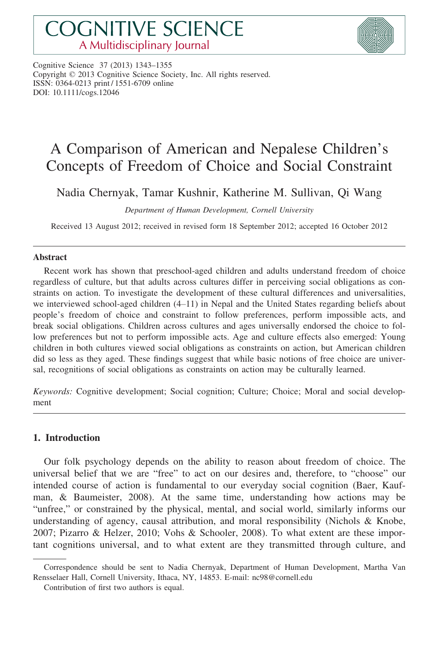# **COGNITIVE SCIENCE** A Multidisciplinary Journal



Cognitive Science 37 (2013) 1343–1355 Copyright © 2013 Cognitive Science Society, Inc. All rights reserved. ISSN: 0364-0213 print / 1551-6709 online DOI: 10.1111/cogs.12046

# A Comparison of American and Nepalese Children's Concepts of Freedom of Choice and Social Constraint

Nadia Chernyak, Tamar Kushnir, Katherine M. Sullivan, Qi Wang

Department of Human Development, Cornell University

Received 13 August 2012; received in revised form 18 September 2012; accepted 16 October 2012

### Abstract

Recent work has shown that preschool-aged children and adults understand freedom of choice regardless of culture, but that adults across cultures differ in perceiving social obligations as constraints on action. To investigate the development of these cultural differences and universalities, we interviewed school-aged children (4–11) in Nepal and the United States regarding beliefs about people's freedom of choice and constraint to follow preferences, perform impossible acts, and break social obligations. Children across cultures and ages universally endorsed the choice to follow preferences but not to perform impossible acts. Age and culture effects also emerged: Young children in both cultures viewed social obligations as constraints on action, but American children did so less as they aged. These findings suggest that while basic notions of free choice are universal, recognitions of social obligations as constraints on action may be culturally learned.

Keywords: Cognitive development; Social cognition; Culture; Choice; Moral and social development

## 1. Introduction

Our folk psychology depends on the ability to reason about freedom of choice. The universal belief that we are "free" to act on our desires and, therefore, to "choose" our intended course of action is fundamental to our everyday social cognition (Baer, Kaufman, & Baumeister, 2008). At the same time, understanding how actions may be "unfree," or constrained by the physical, mental, and social world, similarly informs our understanding of agency, causal attribution, and moral responsibility (Nichols & Knobe, 2007; Pizarro & Helzer, 2010; Vohs & Schooler, 2008). To what extent are these important cognitions universal, and to what extent are they transmitted through culture, and

Correspondence should be sent to Nadia Chernyak, Department of Human Development, Martha Van Rensselaer Hall, Cornell University, Ithaca, NY, 14853. E-mail: nc98@cornell.edu

Contribution of first two authors is equal.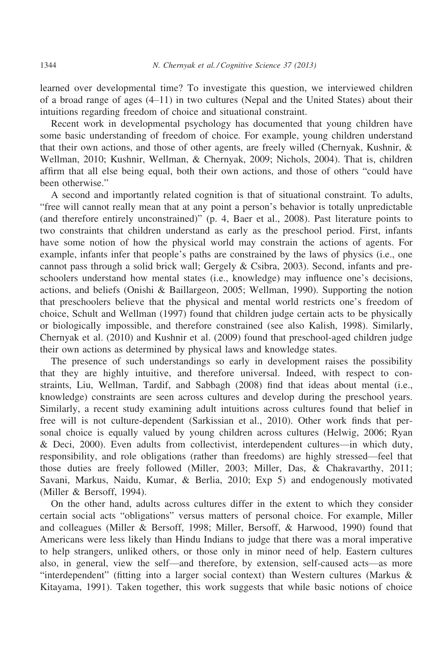learned over developmental time? To investigate this question, we interviewed children of a broad range of ages (4–11) in two cultures (Nepal and the United States) about their intuitions regarding freedom of choice and situational constraint.

Recent work in developmental psychology has documented that young children have some basic understanding of freedom of choice. For example, young children understand that their own actions, and those of other agents, are freely willed (Chernyak, Kushnir, & Wellman, 2010; Kushnir, Wellman, & Chernyak, 2009; Nichols, 2004). That is, children affirm that all else being equal, both their own actions, and those of others "could have been otherwise."

A second and importantly related cognition is that of situational constraint. To adults, "free will cannot really mean that at any point a person's behavior is totally unpredictable (and therefore entirely unconstrained)" (p. 4, Baer et al., 2008). Past literature points to two constraints that children understand as early as the preschool period. First, infants have some notion of how the physical world may constrain the actions of agents. For example, infants infer that people's paths are constrained by the laws of physics (i.e., one cannot pass through a solid brick wall; Gergely & Csibra, 2003). Second, infants and preschoolers understand how mental states (i.e., knowledge) may influence one's decisions, actions, and beliefs (Onishi & Baillargeon, 2005; Wellman, 1990). Supporting the notion that preschoolers believe that the physical and mental world restricts one's freedom of choice, Schult and Wellman (1997) found that children judge certain acts to be physically or biologically impossible, and therefore constrained (see also Kalish, 1998). Similarly, Chernyak et al. (2010) and Kushnir et al. (2009) found that preschool-aged children judge their own actions as determined by physical laws and knowledge states.

The presence of such understandings so early in development raises the possibility that they are highly intuitive, and therefore universal. Indeed, with respect to constraints, Liu, Wellman, Tardif, and Sabbagh (2008) find that ideas about mental (i.e., knowledge) constraints are seen across cultures and develop during the preschool years. Similarly, a recent study examining adult intuitions across cultures found that belief in free will is not culture-dependent (Sarkissian et al., 2010). Other work finds that personal choice is equally valued by young children across cultures (Helwig, 2006; Ryan & Deci, 2000). Even adults from collectivist, interdependent cultures—in which duty, responsibility, and role obligations (rather than freedoms) are highly stressed—feel that those duties are freely followed (Miller, 2003; Miller, Das, & Chakravarthy, 2011; Savani, Markus, Naidu, Kumar, & Berlia, 2010; Exp 5) and endogenously motivated (Miller & Bersoff, 1994).

On the other hand, adults across cultures differ in the extent to which they consider certain social acts "obligations" versus matters of personal choice. For example, Miller and colleagues (Miller & Bersoff, 1998; Miller, Bersoff, & Harwood, 1990) found that Americans were less likely than Hindu Indians to judge that there was a moral imperative to help strangers, unliked others, or those only in minor need of help. Eastern cultures also, in general, view the self—and therefore, by extension, self-caused acts—as more "interdependent" (fitting into a larger social context) than Western cultures (Markus & Kitayama, 1991). Taken together, this work suggests that while basic notions of choice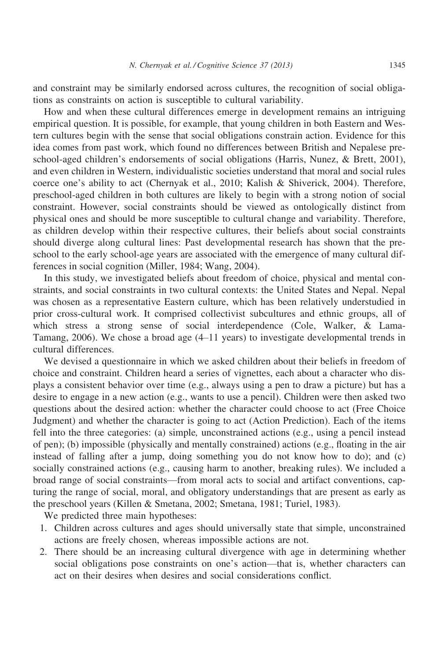and constraint may be similarly endorsed across cultures, the recognition of social obligations as constraints on action is susceptible to cultural variability.

How and when these cultural differences emerge in development remains an intriguing empirical question. It is possible, for example, that young children in both Eastern and Western cultures begin with the sense that social obligations constrain action. Evidence for this idea comes from past work, which found no differences between British and Nepalese preschool-aged children's endorsements of social obligations (Harris, Nunez, & Brett, 2001), and even children in Western, individualistic societies understand that moral and social rules coerce one's ability to act (Chernyak et al., 2010; Kalish & Shiverick, 2004). Therefore, preschool-aged children in both cultures are likely to begin with a strong notion of social constraint. However, social constraints should be viewed as ontologically distinct from physical ones and should be more susceptible to cultural change and variability. Therefore, as children develop within their respective cultures, their beliefs about social constraints should diverge along cultural lines: Past developmental research has shown that the preschool to the early school-age years are associated with the emergence of many cultural differences in social cognition (Miller, 1984; Wang, 2004).

In this study, we investigated beliefs about freedom of choice, physical and mental constraints, and social constraints in two cultural contexts: the United States and Nepal. Nepal was chosen as a representative Eastern culture, which has been relatively understudied in prior cross-cultural work. It comprised collectivist subcultures and ethnic groups, all of which stress a strong sense of social interdependence (Cole, Walker, & Lama-Tamang, 2006). We chose a broad age (4–11 years) to investigate developmental trends in cultural differences.

We devised a questionnaire in which we asked children about their beliefs in freedom of choice and constraint. Children heard a series of vignettes, each about a character who displays a consistent behavior over time (e.g., always using a pen to draw a picture) but has a desire to engage in a new action (e.g., wants to use a pencil). Children were then asked two questions about the desired action: whether the character could choose to act (Free Choice Judgment) and whether the character is going to act (Action Prediction). Each of the items fell into the three categories: (a) simple, unconstrained actions (e.g., using a pencil instead of pen); (b) impossible (physically and mentally constrained) actions (e.g., floating in the air instead of falling after a jump, doing something you do not know how to do); and (c) socially constrained actions (e.g., causing harm to another, breaking rules). We included a broad range of social constraints—from moral acts to social and artifact conventions, capturing the range of social, moral, and obligatory understandings that are present as early as the preschool years (Killen & Smetana, 2002; Smetana, 1981; Turiel, 1983).

We predicted three main hypotheses:

- 1. Children across cultures and ages should universally state that simple, unconstrained actions are freely chosen, whereas impossible actions are not.
- 2. There should be an increasing cultural divergence with age in determining whether social obligations pose constraints on one's action—that is, whether characters can act on their desires when desires and social considerations conflict.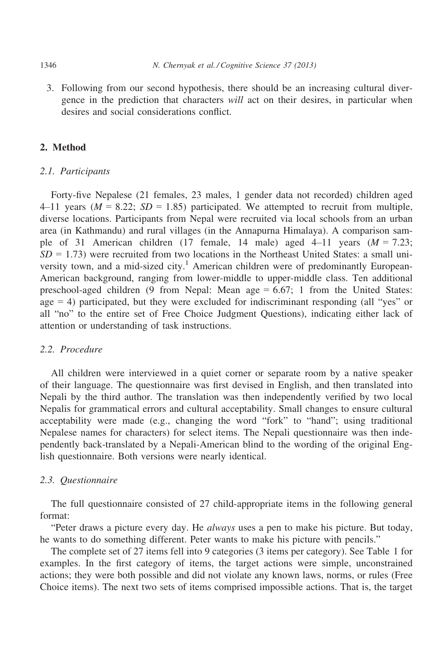3. Following from our second hypothesis, there should be an increasing cultural divergence in the prediction that characters will act on their desires, in particular when desires and social considerations conflict.

## 2. Method

#### 2.1. Participants

Forty-five Nepalese (21 females, 23 males, 1 gender data not recorded) children aged 4–11 years ( $M = 8.22$ ;  $SD = 1.85$ ) participated. We attempted to recruit from multiple, diverse locations. Participants from Nepal were recruited via local schools from an urban area (in Kathmandu) and rural villages (in the Annapurna Himalaya). A comparison sample of 31 American children (17 female, 14 male) aged 4–11 years  $(M = 7.23)$ ;  $SD = 1.73$ ) were recruited from two locations in the Northeast United States: a small university town, and a mid-sized city.<sup>1</sup> American children were of predominantly European-American background, ranging from lower-middle to upper-middle class. Ten additional preschool-aged children (9 from Nepal: Mean age = 6.67; 1 from the United States: age  $= 4$ ) participated, but they were excluded for indiscriminant responding (all "yes" or all "no" to the entire set of Free Choice Judgment Questions), indicating either lack of attention or understanding of task instructions.

## 2.2. Procedure

All children were interviewed in a quiet corner or separate room by a native speaker of their language. The questionnaire was first devised in English, and then translated into Nepali by the third author. The translation was then independently verified by two local Nepalis for grammatical errors and cultural acceptability. Small changes to ensure cultural acceptability were made (e.g., changing the word "fork" to "hand"; using traditional Nepalese names for characters) for select items. The Nepali questionnaire was then independently back-translated by a Nepali-American blind to the wording of the original English questionnaire. Both versions were nearly identical.

## 2.3. Questionnaire

The full questionnaire consisted of 27 child-appropriate items in the following general format:

"Peter draws a picture every day. He always uses a pen to make his picture. But today, he wants to do something different. Peter wants to make his picture with pencils."

The complete set of 27 items fell into 9 categories (3 items per category). See Table 1 for examples. In the first category of items, the target actions were simple, unconstrained actions; they were both possible and did not violate any known laws, norms, or rules (Free Choice items). The next two sets of items comprised impossible actions. That is, the target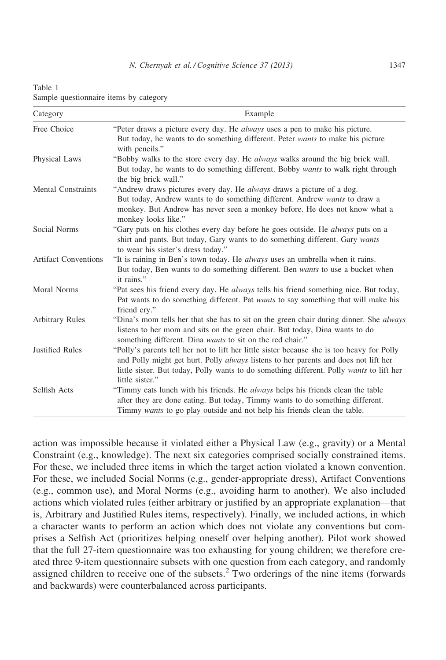| Table 1 |                                        |  |  |
|---------|----------------------------------------|--|--|
|         | Sample questionnaire items by category |  |  |

| Category                    | Example<br>"Peter draws a picture every day. He <i>always</i> uses a pen to make his picture.<br>But today, he wants to do something different. Peter wants to make his picture<br>with pencils."                                                                                                |  |  |
|-----------------------------|--------------------------------------------------------------------------------------------------------------------------------------------------------------------------------------------------------------------------------------------------------------------------------------------------|--|--|
| Free Choice                 |                                                                                                                                                                                                                                                                                                  |  |  |
| Physical Laws               | "Bobby walks to the store every day. He <i>always</i> walks around the big brick wall.<br>But today, he wants to do something different. Bobby wants to walk right through<br>the big brick wall."                                                                                               |  |  |
| <b>Mental Constraints</b>   | "Andrew draws pictures every day. He <i>always</i> draws a picture of a dog.<br>But today, Andrew wants to do something different. Andrew <i>wants</i> to draw a<br>monkey. But Andrew has never seen a monkey before. He does not know what a<br>monkey looks like."                            |  |  |
| Social Norms                | "Gary puts on his clothes every day before he goes outside. He <i>always</i> puts on a<br>shirt and pants. But today, Gary wants to do something different. Gary wants<br>to wear his sister's dress today."                                                                                     |  |  |
| <b>Artifact Conventions</b> | "It is raining in Ben's town today. He <i>always</i> uses an umbrella when it rains.<br>But today, Ben wants to do something different. Ben wants to use a bucket when<br>it rains."                                                                                                             |  |  |
| Moral Norms                 | "Pat sees his friend every day. He always tells his friend something nice. But today,<br>Pat wants to do something different. Pat wants to say something that will make his<br>friend cry."                                                                                                      |  |  |
| <b>Arbitrary Rules</b>      | "Dina's mom tells her that she has to sit on the green chair during dinner. She <i>always</i><br>listens to her mom and sits on the green chair. But today, Dina wants to do<br>something different. Dina wants to sit on the red chair."                                                        |  |  |
| <b>Justified Rules</b>      | "Polly's parents tell her not to lift her little sister because she is too heavy for Polly<br>and Polly might get hurt. Polly always listens to her parents and does not lift her<br>little sister. But today, Polly wants to do something different. Polly wants to lift her<br>little sister." |  |  |
| Selfish Acts                | "Timmy eats lunch with his friends. He always helps his friends clean the table<br>after they are done eating. But today, Timmy wants to do something different.<br>Timmy wants to go play outside and not help his friends clean the table.                                                     |  |  |

action was impossible because it violated either a Physical Law (e.g., gravity) or a Mental Constraint (e.g., knowledge). The next six categories comprised socially constrained items. For these, we included three items in which the target action violated a known convention. For these, we included Social Norms (e.g., gender-appropriate dress), Artifact Conventions (e.g., common use), and Moral Norms (e.g., avoiding harm to another). We also included actions which violated rules (either arbitrary or justified by an appropriate explanation—that is, Arbitrary and Justified Rules items, respectively). Finally, we included actions, in which a character wants to perform an action which does not violate any conventions but comprises a Selfish Act (prioritizes helping oneself over helping another). Pilot work showed that the full 27-item questionnaire was too exhausting for young children; we therefore created three 9-item questionnaire subsets with one question from each category, and randomly assigned children to receive one of the subsets.<sup>2</sup> Two orderings of the nine items (forwards) and backwards) were counterbalanced across participants.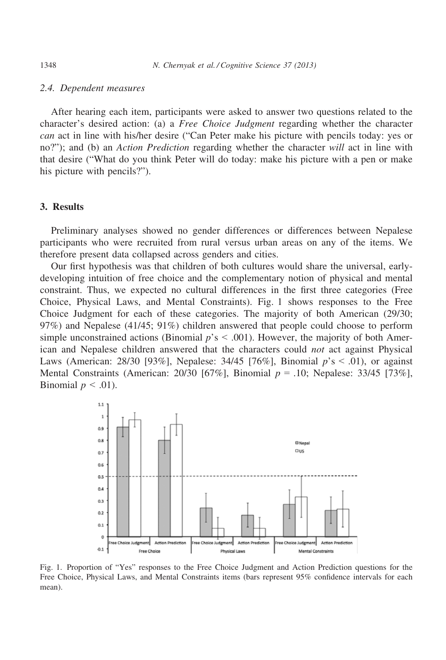#### 2.4. Dependent measures

After hearing each item, participants were asked to answer two questions related to the character's desired action: (a) a *Free Choice Judgment* regarding whether the character can act in line with his/her desire ("Can Peter make his picture with pencils today: yes or no?"); and (b) an Action Prediction regarding whether the character will act in line with that desire ("What do you think Peter will do today: make his picture with a pen or make his picture with pencils?").

### 3. Results

Preliminary analyses showed no gender differences or differences between Nepalese participants who were recruited from rural versus urban areas on any of the items. We therefore present data collapsed across genders and cities.

Our first hypothesis was that children of both cultures would share the universal, earlydeveloping intuition of free choice and the complementary notion of physical and mental constraint. Thus, we expected no cultural differences in the first three categories (Free Choice, Physical Laws, and Mental Constraints). Fig. 1 shows responses to the Free Choice Judgment for each of these categories. The majority of both American (29/30; 97%) and Nepalese (41/45; 91%) children answered that people could choose to perform simple unconstrained actions (Binomial  $p$ 's < .001). However, the majority of both American and Nepalese children answered that the characters could not act against Physical Laws (American: 28/30 [93%], Nepalese: 34/45 [76%], Binomial  $p$ 's < .01), or against Mental Constraints (American: 20/30 [67%], Binomial  $p = .10$ ; Nepalese: 33/45 [73%], Binomial  $p < .01$ ).



Fig. 1. Proportion of "Yes" responses to the Free Choice Judgment and Action Prediction questions for the Free Choice, Physical Laws, and Mental Constraints items (bars represent 95% confidence intervals for each mean).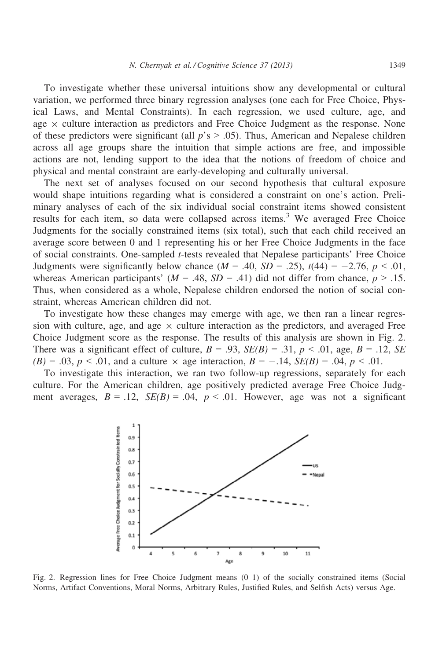To investigate whether these universal intuitions show any developmental or cultural variation, we performed three binary regression analyses (one each for Free Choice, Physical Laws, and Mental Constraints). In each regression, we used culture, age, and age  $\times$  culture interaction as predictors and Free Choice Judgment as the response. None of these predictors were significant (all  $p$ 's  $> 0.05$ ). Thus, American and Nepalese children across all age groups share the intuition that simple actions are free, and impossible actions are not, lending support to the idea that the notions of freedom of choice and physical and mental constraint are early-developing and culturally universal.

The next set of analyses focused on our second hypothesis that cultural exposure would shape intuitions regarding what is considered a constraint on one's action. Preliminary analyses of each of the six individual social constraint items showed consistent results for each item, so data were collapsed across items.<sup>3</sup> We averaged Free Choice Judgments for the socially constrained items (six total), such that each child received an average score between 0 and 1 representing his or her Free Choice Judgments in the face of social constraints. One-sampled t-tests revealed that Nepalese participants' Free Choice Judgments were significantly below chance  $(M = .40, SD = .25)$ ,  $t(44) = -2.76, p < .01$ , whereas American participants' ( $M = .48$ ,  $SD = .41$ ) did not differ from chance,  $p > .15$ . Thus, when considered as a whole, Nepalese children endorsed the notion of social constraint, whereas American children did not.

To investigate how these changes may emerge with age, we then ran a linear regression with culture, age, and age  $\times$  culture interaction as the predictors, and averaged Free Choice Judgment score as the response. The results of this analysis are shown in Fig. 2. There was a significant effect of culture,  $B = .93$ ,  $SE(B) = .31$ ,  $p < .01$ , age,  $B = .12$ ,  $SE$  $(B) = .03, p < .01,$  and a culture  $\times$  age interaction,  $B = -.14, SE(B) = .04, p < .01.$ 

To investigate this interaction, we ran two follow-up regressions, separately for each culture. For the American children, age positively predicted average Free Choice Judgment averages,  $B = .12$ ,  $SE(B) = .04$ ,  $p < .01$ . However, age was not a significant



Fig. 2. Regression lines for Free Choice Judgment means (0–1) of the socially constrained items (Social Norms, Artifact Conventions, Moral Norms, Arbitrary Rules, Justified Rules, and Selfish Acts) versus Age.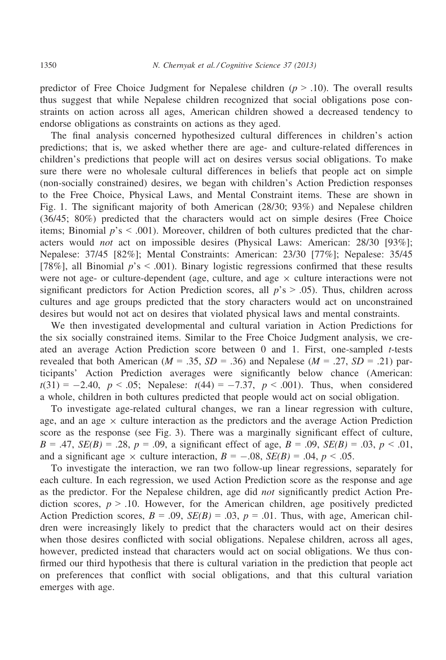predictor of Free Choice Judgment for Nepalese children  $(p > .10)$ . The overall results thus suggest that while Nepalese children recognized that social obligations pose constraints on action across all ages, American children showed a decreased tendency to endorse obligations as constraints on actions as they aged.

The final analysis concerned hypothesized cultural differences in children's action predictions; that is, we asked whether there are age- and culture-related differences in children's predictions that people will act on desires versus social obligations. To make sure there were no wholesale cultural differences in beliefs that people act on simple (non-socially constrained) desires, we began with children's Action Prediction responses to the Free Choice, Physical Laws, and Mental Constraint items. These are shown in Fig. 1. The significant majority of both American (28/30; 93%) and Nepalese children (36/45; 80%) predicted that the characters would act on simple desires (Free Choice items; Binomial  $p$ 's < .001). Moreover, children of both cultures predicted that the characters would not act on impossible desires (Physical Laws: American: 28/30 [93%]; Nepalese: 37/45 [82%]; Mental Constraints: American: 23/30 [77%]; Nepalese: 35/45 [78%], all Binomial  $p$ 's < .001). Binary logistic regressions confirmed that these results were not age- or culture-dependent (age, culture, and age  $\times$  culture interactions were not significant predictors for Action Prediction scores, all  $p$ 's  $> .05$ ). Thus, children across cultures and age groups predicted that the story characters would act on unconstrained desires but would not act on desires that violated physical laws and mental constraints.

We then investigated developmental and cultural variation in Action Predictions for the six socially constrained items. Similar to the Free Choice Judgment analysis, we created an average Action Prediction score between  $0$  and  $1$ . First, one-sampled t-tests revealed that both American ( $M = .35$ ,  $SD = .36$ ) and Nepalese ( $M = .27$ ,  $SD = .21$ ) participants' Action Prediction averages were significantly below chance (American:  $t(31) = -2.40, p < .05$ ; Nepalese:  $t(44) = -7.37, p < .001$ ). Thus, when considered a whole, children in both cultures predicted that people would act on social obligation.

To investigate age-related cultural changes, we ran a linear regression with culture, age, and an age  $\times$  culture interaction as the predictors and the average Action Prediction score as the response (see Fig. 3). There was a marginally significant effect of culture,  $B = .47$ ,  $SE(B) = .28$ ,  $p = .09$ , a significant effect of age,  $B = .09$ ,  $SE(B) = .03$ ,  $p < .01$ , and a significant age  $\times$  culture interaction,  $B = -.08$ ,  $SE(B) = .04$ ,  $p < .05$ .

To investigate the interaction, we ran two follow-up linear regressions, separately for each culture. In each regression, we used Action Prediction score as the response and age as the predictor. For the Nepalese children, age did not significantly predict Action Prediction scores,  $p > 0.10$ . However, for the American children, age positively predicted Action Prediction scores,  $B = .09$ ,  $SE(B) = .03$ ,  $p = .01$ . Thus, with age, American children were increasingly likely to predict that the characters would act on their desires when those desires conflicted with social obligations. Nepalese children, across all ages, however, predicted instead that characters would act on social obligations. We thus confirmed our third hypothesis that there is cultural variation in the prediction that people act on preferences that conflict with social obligations, and that this cultural variation emerges with age.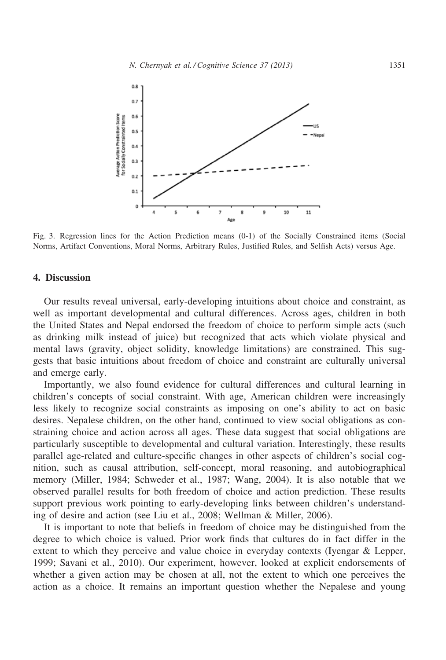

Fig. 3. Regression lines for the Action Prediction means (0-1) of the Socially Constrained items (Social Norms, Artifact Conventions, Moral Norms, Arbitrary Rules, Justified Rules, and Selfish Acts) versus Age.

### 4. Discussion

Our results reveal universal, early-developing intuitions about choice and constraint, as well as important developmental and cultural differences. Across ages, children in both the United States and Nepal endorsed the freedom of choice to perform simple acts (such as drinking milk instead of juice) but recognized that acts which violate physical and mental laws (gravity, object solidity, knowledge limitations) are constrained. This suggests that basic intuitions about freedom of choice and constraint are culturally universal and emerge early.

Importantly, we also found evidence for cultural differences and cultural learning in children's concepts of social constraint. With age, American children were increasingly less likely to recognize social constraints as imposing on one's ability to act on basic desires. Nepalese children, on the other hand, continued to view social obligations as constraining choice and action across all ages. These data suggest that social obligations are particularly susceptible to developmental and cultural variation. Interestingly, these results parallel age-related and culture-specific changes in other aspects of children's social cognition, such as causal attribution, self-concept, moral reasoning, and autobiographical memory (Miller, 1984; Schweder et al., 1987; Wang, 2004). It is also notable that we observed parallel results for both freedom of choice and action prediction. These results support previous work pointing to early-developing links between children's understanding of desire and action (see Liu et al., 2008; Wellman & Miller, 2006).

It is important to note that beliefs in freedom of choice may be distinguished from the degree to which choice is valued. Prior work finds that cultures do in fact differ in the extent to which they perceive and value choice in everyday contexts (Iyengar & Lepper, 1999; Savani et al., 2010). Our experiment, however, looked at explicit endorsements of whether a given action may be chosen at all, not the extent to which one perceives the action as a choice. It remains an important question whether the Nepalese and young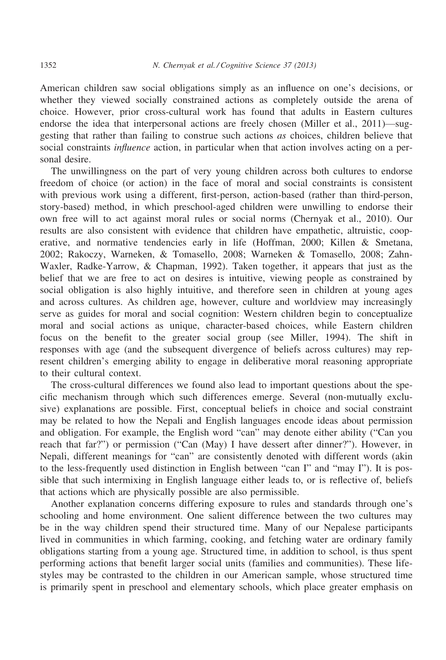American children saw social obligations simply as an influence on one's decisions, or whether they viewed socially constrained actions as completely outside the arena of choice. However, prior cross-cultural work has found that adults in Eastern cultures endorse the idea that interpersonal actions are freely chosen (Miller et al., 2011)—suggesting that rather than failing to construe such actions as choices, children believe that social constraints *influence* action, in particular when that action involves acting on a personal desire.

The unwillingness on the part of very young children across both cultures to endorse freedom of choice (or action) in the face of moral and social constraints is consistent with previous work using a different, first-person, action-based (rather than third-person, story-based) method, in which preschool-aged children were unwilling to endorse their own free will to act against moral rules or social norms (Chernyak et al., 2010). Our results are also consistent with evidence that children have empathetic, altruistic, cooperative, and normative tendencies early in life (Hoffman, 2000; Killen & Smetana, 2002; Rakoczy, Warneken, & Tomasello, 2008; Warneken & Tomasello, 2008; Zahn-Waxler, Radke-Yarrow, & Chapman, 1992). Taken together, it appears that just as the belief that we are free to act on desires is intuitive, viewing people as constrained by social obligation is also highly intuitive, and therefore seen in children at young ages and across cultures. As children age, however, culture and worldview may increasingly serve as guides for moral and social cognition: Western children begin to conceptualize moral and social actions as unique, character-based choices, while Eastern children focus on the benefit to the greater social group (see Miller, 1994). The shift in responses with age (and the subsequent divergence of beliefs across cultures) may represent children's emerging ability to engage in deliberative moral reasoning appropriate to their cultural context.

The cross-cultural differences we found also lead to important questions about the specific mechanism through which such differences emerge. Several (non-mutually exclusive) explanations are possible. First, conceptual beliefs in choice and social constraint may be related to how the Nepali and English languages encode ideas about permission and obligation. For example, the English word "can" may denote either ability ("Can you reach that far?") or permission ("Can (May) I have dessert after dinner?"). However, in Nepali, different meanings for "can" are consistently denoted with different words (akin to the less-frequently used distinction in English between "can I" and "may I"). It is possible that such intermixing in English language either leads to, or is reflective of, beliefs that actions which are physically possible are also permissible.

Another explanation concerns differing exposure to rules and standards through one's schooling and home environment. One salient difference between the two cultures may be in the way children spend their structured time. Many of our Nepalese participants lived in communities in which farming, cooking, and fetching water are ordinary family obligations starting from a young age. Structured time, in addition to school, is thus spent performing actions that benefit larger social units (families and communities). These lifestyles may be contrasted to the children in our American sample, whose structured time is primarily spent in preschool and elementary schools, which place greater emphasis on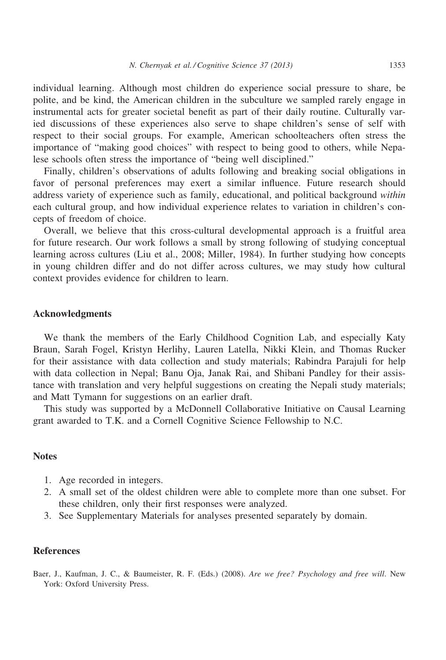individual learning. Although most children do experience social pressure to share, be polite, and be kind, the American children in the subculture we sampled rarely engage in instrumental acts for greater societal benefit as part of their daily routine. Culturally varied discussions of these experiences also serve to shape children's sense of self with respect to their social groups. For example, American schoolteachers often stress the importance of "making good choices" with respect to being good to others, while Nepalese schools often stress the importance of "being well disciplined."

Finally, children's observations of adults following and breaking social obligations in favor of personal preferences may exert a similar influence. Future research should address variety of experience such as family, educational, and political background within each cultural group, and how individual experience relates to variation in children's concepts of freedom of choice.

Overall, we believe that this cross-cultural developmental approach is a fruitful area for future research. Our work follows a small by strong following of studying conceptual learning across cultures (Liu et al., 2008; Miller, 1984). In further studying how concepts in young children differ and do not differ across cultures, we may study how cultural context provides evidence for children to learn.

## Acknowledgments

We thank the members of the Early Childhood Cognition Lab, and especially Katy Braun, Sarah Fogel, Kristyn Herlihy, Lauren Latella, Nikki Klein, and Thomas Rucker for their assistance with data collection and study materials; Rabindra Parajuli for help with data collection in Nepal; Banu Oja, Janak Rai, and Shibani Pandley for their assistance with translation and very helpful suggestions on creating the Nepali study materials; and Matt Tymann for suggestions on an earlier draft.

This study was supported by a McDonnell Collaborative Initiative on Causal Learning grant awarded to T.K. and a Cornell Cognitive Science Fellowship to N.C.

## **Notes**

- 1. Age recorded in integers.
- 2. A small set of the oldest children were able to complete more than one subset. For these children, only their first responses were analyzed.
- 3. See Supplementary Materials for analyses presented separately by domain.

#### **References**

Baer, J., Kaufman, J. C., & Baumeister, R. F. (Eds.) (2008). Are we free? Psychology and free will. New York: Oxford University Press.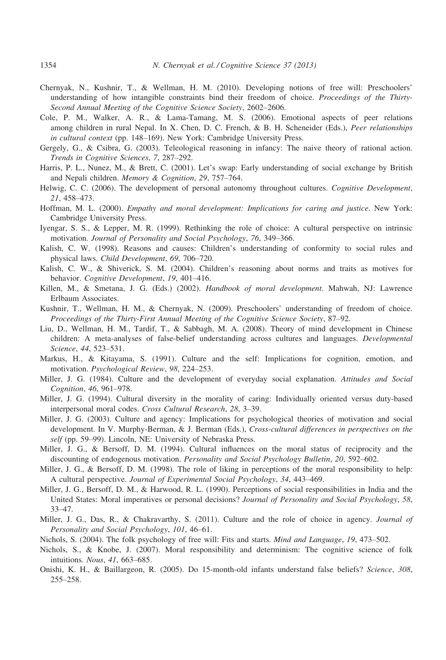- Chernyak, N., Kushnir, T., & Wellman, H. M. (2010). Developing notions of free will: Preschoolers' understanding of how intangible constraints bind their freedom of choice. Proceedings of the Thirty-Second Annual Meeting of the Cognitive Science Society, 2602–2606.
- Cole, P. M., Walker, A. R., & Lama-Tamang, M. S. (2006). Emotional aspects of peer relations among children in rural Nepal. In X. Chen, D. C. French, & B. H. Scheneider (Eds.), Peer relationships in cultural context (pp. 148–169). New York: Cambridge University Press.
- Gergely, G., & Csibra, G. (2003). Teleological reasoning in infancy: The naive theory of rational action. Trends in Cognitive Sciences, 7, 287–292.
- Harris, P. L., Nunez, M., & Brett, C. (2001). Let's swap: Early understanding of social exchange by British and Nepali children. Memory & Cognition, 29, 757–764.
- Helwig, C. C. (2006). The development of personal autonomy throughout cultures. Cognitive Development, 21, 458–473.
- Hoffman, M. L. (2000). *Empathy and moral development: Implications for caring and justice*. New York: Cambridge University Press.
- Iyengar, S. S., & Lepper, M. R. (1999). Rethinking the role of choice: A cultural perspective on intrinsic motivation. Journal of Personality and Social Psychology, 76, 349–366.
- Kalish, C. W. (1998). Reasons and causes: Children's understanding of conformity to social rules and physical laws. Child Development, 69, 706–720.
- Kalish, C. W., & Shiverick, S. M. (2004). Children's reasoning about norms and traits as motives for behavior. Cognitive Development, 19, 401–416.
- Killen, M., & Smetana, J. G. (Eds.) (2002). Handbook of moral development. Mahwah, NJ: Lawrence Erlbaum Associates.
- Kushnir, T., Wellman, H. M., & Chernyak, N. (2009). Preschoolers' understanding of freedom of choice. Proceedings of the Thirty-First Annual Meeting of the Cognitive Science Society, 87–92.
- Liu, D., Wellman, H. M., Tardif, T., & Sabbagh, M. A. (2008). Theory of mind development in Chinese children: A meta-analyses of false-belief understanding across cultures and languages. Developmental Science, 44, 523–531.
- Markus, H., & Kitayama, S. (1991). Culture and the self: Implications for cognition, emotion, and motivation. Psychological Review, 98, 224–253.
- Miller, J. G. (1984). Culture and the development of everyday social explanation. Attitudes and Social Cognition, 46, 961–978.
- Miller, J. G. (1994). Cultural diversity in the morality of caring: Individually oriented versus duty-based interpersonal moral codes. Cross Cultural Research, 28, 3–39.
- Miller, J. G. (2003). Culture and agency: Implications for psychological theories of motivation and social development. In V. Murphy-Berman, & J. Berman (Eds.), Cross-cultural differences in perspectives on the self (pp. 59–99). Lincoln, NE: University of Nebraska Press.
- Miller, J. G., & Bersoff, D. M. (1994). Cultural influences on the moral status of reciprocity and the discounting of endogenous motivation. *Personality and Social Psychology Bulletin*, 20, 592–602.
- Miller, J. G., & Bersoff, D. M. (1998). The role of liking in perceptions of the moral responsibility to help: A cultural perspective. Journal of Experimental Social Psychology, 34, 443–469.
- Miller, J. G., Bersoff, D. M., & Harwood, R. L. (1990). Perceptions of social responsibilities in India and the United States: Moral imperatives or personal decisions? Journal of Personality and Social Psychology, 58, 33–47.
- Miller, J. G., Das, R., & Chakravarthy, S. (2011). Culture and the role of choice in agency. Journal of Personality and Social Psychology, 101, 46–61.
- Nichols, S. (2004). The folk psychology of free will: Fits and starts. *Mind and Language*, 19, 473–502.
- Nichols, S., & Knobe, J. (2007). Moral responsibility and determinism: The cognitive science of folk intuitions. Nous, 41, 663–685.
- Onishi, K. H., & Baillargeon, R. (2005). Do 15-month-old infants understand false beliefs? Science, 308, 255–258.